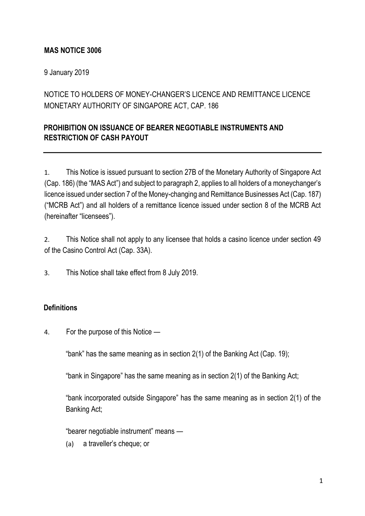## **MAS NOTICE 3006**

9 January 2019

# NOTICE TO HOLDERS OF MONEY-CHANGER'S LICENCE AND REMITTANCE LICENCE MONETARY AUTHORITY OF SINGAPORE ACT, CAP. 186

## **PROHIBITION ON ISSUANCE OF BEARER NEGOTIABLE INSTRUMENTS AND RESTRICTION OF CASH PAYOUT**

1. This Notice is issued pursuant to section 27B of the Monetary Authority of Singapore Act (Cap. 186) (the "MAS Act") and subject to paragraph 2, applies to all holders of a moneychanger's licence issued under section 7 of the Money-changing and Remittance Businesses Act (Cap. 187) ("MCRB Act") and all holders of a remittance licence issued under section 8 of the MCRB Act (hereinafter "licensees").

2. This Notice shall not apply to any licensee that holds a casino licence under section 49 of the Casino Control Act (Cap. 33A).

3. This Notice shall take effect from 8 July 2019.

#### **Definitions**

4. For the purpose of this Notice —

"bank" has the same meaning as in section 2(1) of the Banking Act (Cap. 19);

"bank in Singapore" has the same meaning as in section 2(1) of the Banking Act;

"bank incorporated outside Singapore" has the same meaning as in section 2(1) of the Banking Act;

"bearer negotiable instrument" means —

(a) a traveller's cheque; or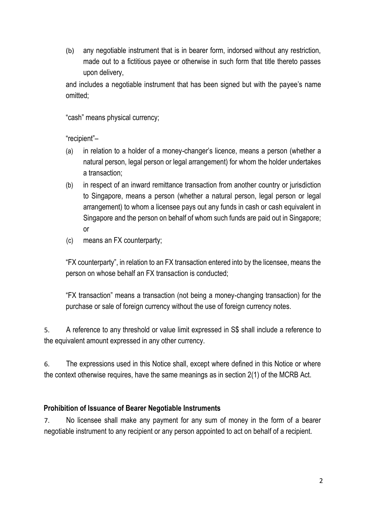(b) any negotiable instrument that is in bearer form, indorsed without any restriction, made out to a fictitious payee or otherwise in such form that title thereto passes upon delivery,

and includes a negotiable instrument that has been signed but with the payee's name omitted;

"cash" means physical currency;

"recipient"–

- (a) in relation to a holder of a money-changer's licence, means a person (whether a natural person, legal person or legal arrangement) for whom the holder undertakes a transaction;
- (b) in respect of an inward remittance transaction from another country or jurisdiction to Singapore, means a person (whether a natural person, legal person or legal arrangement) to whom a licensee pays out any funds in cash or cash equivalent in Singapore and the person on behalf of whom such funds are paid out in Singapore; or
- (c) means an FX counterparty;

"FX counterparty", in relation to an FX transaction entered into by the licensee, means the person on whose behalf an FX transaction is conducted;

"FX transaction" means a transaction (not being a money-changing transaction) for the purchase or sale of foreign currency without the use of foreign currency notes.

5. A reference to any threshold or value limit expressed in S\$ shall include a reference to the equivalent amount expressed in any other currency.

6. The expressions used in this Notice shall, except where defined in this Notice or where the context otherwise requires, have the same meanings as in section 2(1) of the MCRB Act.

## **Prohibition of Issuance of Bearer Negotiable Instruments**

7. No licensee shall make any payment for any sum of money in the form of a bearer negotiable instrument to any recipient or any person appointed to act on behalf of a recipient.